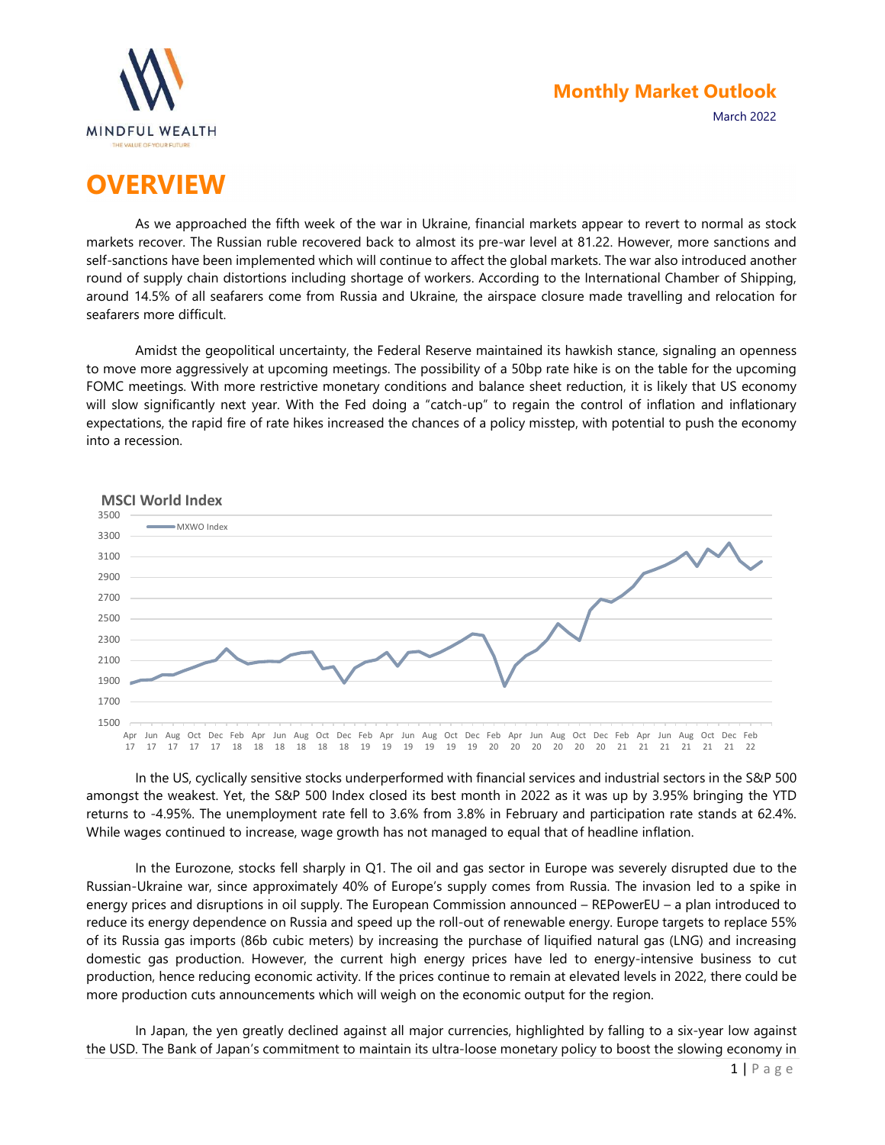

# **OVERVIEW**

As we approached the fifth week of the war in Ukraine, financial markets appear to revert to normal as stock markets recover. The Russian ruble recovered back to almost its pre-war level at 81.22. However, more sanctions and self-sanctions have been implemented which will continue to affect the global markets. The war also introduced another round of supply chain distortions including shortage of workers. According to the International Chamber of Shipping, around 14.5% of all seafarers come from Russia and Ukraine, the airspace closure made travelling and relocation for seafarers more difficult.

Amidst the geopolitical uncertainty, the Federal Reserve maintained its hawkish stance, signaling an openness to move more aggressively at upcoming meetings. The possibility of a 50bp rate hike is on the table for the upcoming FOMC meetings. With more restrictive monetary conditions and balance sheet reduction, it is likely that US economy will slow significantly next year. With the Fed doing a "catch-up" to regain the control of inflation and inflationary expectations, the rapid fire of rate hikes increased the chances of a policy misstep, with potential to push the economy into a recession.



In the US, cyclically sensitive stocks underperformed with financial services and industrial sectors in the S&P 500 amongst the weakest. Yet, the S&P 500 Index closed its best month in 2022 as it was up by 3.95% bringing the YTD returns to -4.95%. The unemployment rate fell to 3.6% from 3.8% in February and participation rate stands at 62.4%. While wages continued to increase, wage growth has not managed to equal that of headline inflation.

In the Eurozone, stocks fell sharply in Q1. The oil and gas sector in Europe was severely disrupted due to the Russian-Ukraine war, since approximately 40% of Europe's supply comes from Russia. The invasion led to a spike in energy prices and disruptions in oil supply. The European Commission announced – REPowerEU – a plan introduced to reduce its energy dependence on Russia and speed up the roll-out of renewable energy. Europe targets to replace 55% of its Russia gas imports (86b cubic meters) by increasing the purchase of liquified natural gas (LNG) and increasing domestic gas production. However, the current high energy prices have led to energy-intensive business to cut production, hence reducing economic activity. If the prices continue to remain at elevated levels in 2022, there could be more production cuts announcements which will weigh on the economic output for the region.

In Japan, the yen greatly declined against all major currencies, highlighted by falling to a six-year low against the USD. The Bank of Japan's commitment to maintain its ultra-loose monetary policy to boost the slowing economy in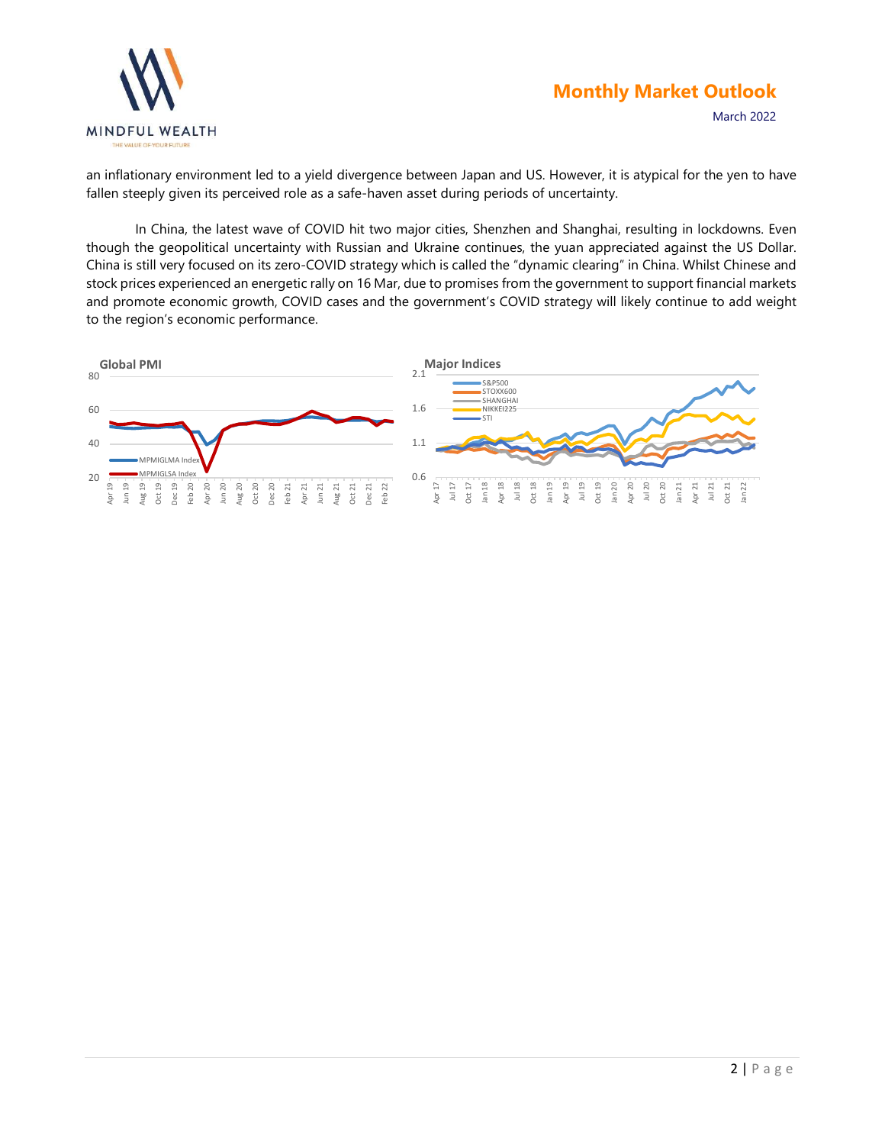

March 2022

an inflationary environment led to a yield divergence between Japan and US. However, it is atypical for the yen to have fallen steeply given its perceived role as a safe-haven asset during periods of uncertainty.

In China, the latest wave of COVID hit two major cities, Shenzhen and Shanghai, resulting in lockdowns. Even though the geopolitical uncertainty with Russian and Ukraine continues, the yuan appreciated against the US Dollar. China is still very focused on its zero-COVID strategy which is called the "dynamic clearing" in China. Whilst Chinese and stock prices experienced an energetic rally on 16 Mar, due to promises from the government to support financial markets and promote economic growth, COVID cases and the government's COVID strategy will likely continue to add weight to the region's economic performance.

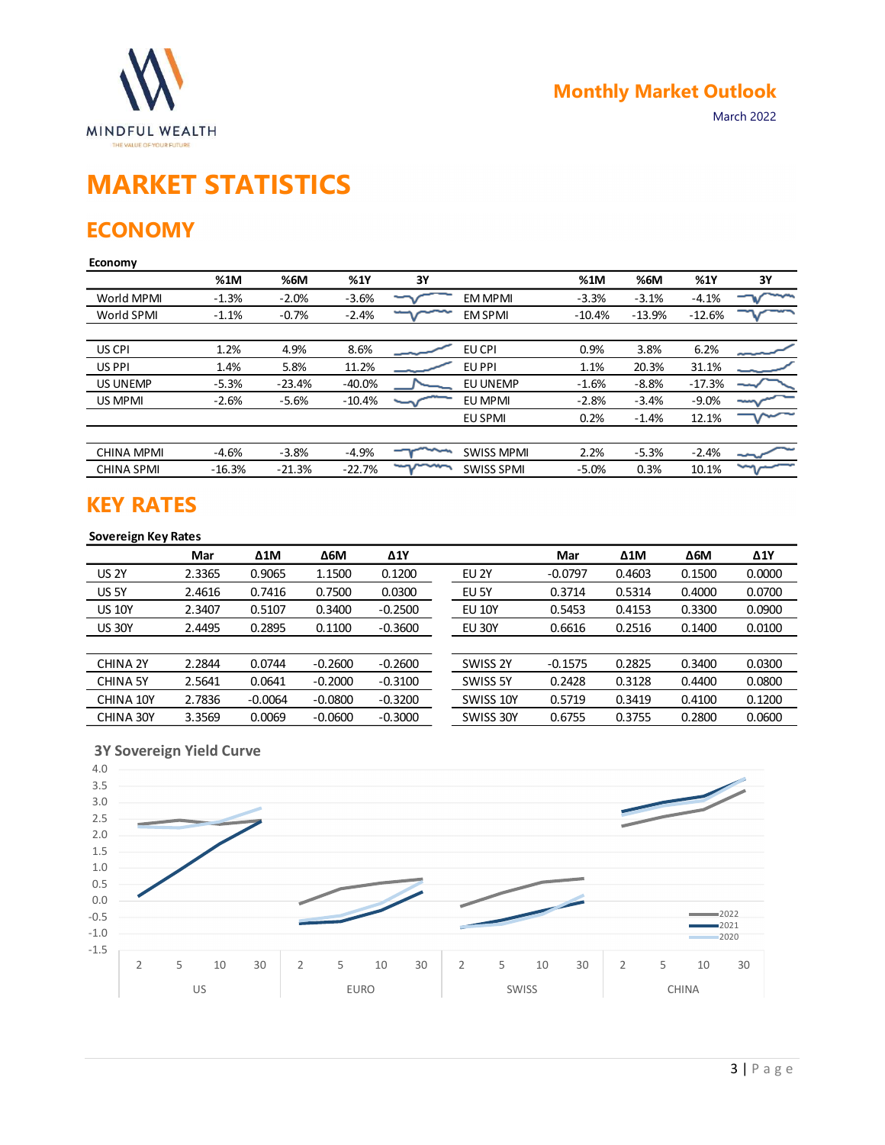

# MARKET STATISTICS

### **ECONOMY**

#### Economy

| <b>MINDFUL WEALTH</b><br>THE VALUE OF YOUR FUTURE |          |           |             |           |                   |           | <b>Monthly Market Outlook</b> |          | March 2022  |
|---------------------------------------------------|----------|-----------|-------------|-----------|-------------------|-----------|-------------------------------|----------|-------------|
| <b>MARKET STATISTICS</b><br><b>ECONOMY</b>        |          |           |             |           |                   |           |                               |          |             |
| <b>Economy</b>                                    | %1M      | %6M       | %1Y         | 3Y        |                   | %1M       | %6M                           | %1Y      | 3Y          |
| World MPMI                                        | $-1.3%$  | $-2.0%$   | $-3.6%$     |           | <b>EM MPMI</b>    | $-3.3%$   | $-3.1%$                       | $-4.1%$  |             |
| World SPMI                                        | $-1.1%$  | $-0.7%$   | $-2.4%$     |           | <b>EM SPMI</b>    | $-10.4%$  | $-13.9%$                      | $-12.6%$ |             |
| US CPI                                            | 1.2%     | 4.9%      | 8.6%        |           | EU CPI            | 0.9%      | 3.8%                          | 6.2%     |             |
| US PPI                                            | 1.4%     | 5.8%      | 11.2%       |           | EU PPI            | 1.1%      | 20.3%                         | 31.1%    |             |
| <b>US UNEMP</b>                                   | $-5.3%$  | $-23.4%$  | $-40.0%$    |           | EU UNEMP          | $-1.6%$   | $-8.8%$                       | $-17.3%$ |             |
| US MPMI                                           | $-2.6%$  | $-5.6%$   | $-10.4%$    |           | EU MPMI           | $-2.8%$   | $-3.4%$                       | $-9.0%$  |             |
|                                                   |          |           |             |           | <b>EU SPMI</b>    | 0.2%      | $-1.4%$                       | 12.1%    |             |
| <b>CHINA MPMI</b>                                 | $-4.6%$  | $-3.8%$   | $-4.9%$     | ∽         | <b>SWISS MPMI</b> | 2.2%      | $-5.3%$                       | $-2.4%$  |             |
| <b>CHINA SPMI</b>                                 | $-16.3%$ | $-21.3%$  | $-22.7%$    |           | <b>SWISS SPMI</b> | $-5.0%$   | 0.3%                          | 10.1%    |             |
| <b>KEY RATES</b><br><b>Sovereign Key Rates</b>    | Mar      | Δ1M       | $\Delta 6M$ | Δ1Y       |                   | Mar       | Δ1M                           | Δ6M      | $\Delta$ 1Y |
| <b>US 2Y</b>                                      | 2.3365   | 0.9065    | 1.1500      | 0.1200    | EU 2Y             | $-0.0797$ | 0.4603                        | 0.1500   | 0.0000      |
| US <sub>5Y</sub>                                  | 2.4616   | 0.7416    | 0.7500      | 0.0300    | EU 5Y             | 0.3714    | 0.5314                        | 0.4000   | 0.0700      |
| <b>US 10Y</b>                                     | 2.3407   | 0.5107    | 0.3400      | $-0.2500$ | <b>EU 10Y</b>     | 0.5453    | 0.4153                        | 0.3300   | 0.0900      |
| <b>US 30Y</b>                                     | 2.4495   | 0.2895    | 0.1100      | $-0.3600$ | EU 30Y            | 0.6616    | 0.2516                        | 0.1400   | 0.0100      |
|                                                   |          |           |             |           |                   |           |                               |          |             |
|                                                   |          |           |             |           | SWISS 2Y          | $-0.1575$ | 0.2825                        | 0.3400   | 0.0300      |
| CHINA 2Y                                          | 2.2844   | 0.0744    | $-0.2600$   | $-0.2600$ |                   |           |                               |          |             |
| <b>CHINA 5Y</b>                                   | 2.5641   | 0.0641    | $-0.2000$   | $-0.3100$ | SWISS 5Y          | 0.2428    | 0.3128                        | 0.4400   | 0.0800      |
| CHINA 10Y                                         | 2.7836   | $-0.0064$ | $-0.0800$   | $-0.3200$ | SWISS 10Y         | 0.5719    | 0.3419                        | 0.4100   | 0.1200      |

### KEY RATES

### Sovereign Key Rates

| $\neg$<br>$\sim$<br>$-12.6%$<br>$-0.7%$<br>$-2.4%$<br><b>EM SPMI</b><br>$-10.4%$<br>$-13.9%$<br>$-1.1%$<br>6.2%<br>1.2%<br>4.9%<br>8.6%<br>EU CPI<br>0.9%<br>3.8%<br>US CPI<br>مستسمع<br>5.8%<br>11.2%<br>EU PPI<br>20.3%<br>31.1%<br>US PPI<br>1.4%<br>1.1%<br>$-40.0%$<br><b>US UNEMP</b><br>$-5.3%$<br>$-23.4%$<br>EU UNEMP<br>$-1.6%$<br>$-8.8%$<br>$-17.3%$<br>$-9.0%$<br>US MPMI<br>$-2.6%$<br>$-5.6%$<br>$-10.4%$<br>EU MPMI<br>$-2.8%$<br>$-3.4%$<br>0.2%<br>$-1.4%$<br>12.1%<br>EU SPMI<br>$-4.6%$<br>$-3.8%$<br>2.2%<br>$-5.3%$<br>$-2.4%$<br><b>CHINA MPMI</b><br>$-4.9%$<br><b>SWISS MPMI</b><br>mond<br>∽<br>10.1%<br>$-22.7%$<br>$-5.0%$<br>0.3%<br>$-16.3%$<br>$-21.3%$<br><b>SWISS SPMI</b><br><b>KEY RATES</b><br>Sovereign Key Rates<br>$\Delta 1$ M<br><b>Δ6Μ</b><br>$\Delta$ 1Y<br>$\Delta 1$ M<br><b>Δ6Μ</b><br>$\Delta$ 1Y<br>Mar<br>Mar<br><b>US 2Y</b><br>2.3365<br>EU <sub>2Y</sub><br>0.9065<br>1.1500<br>0.1200<br>$-0.0797$<br>0.4603<br>0.1500<br>0.0000<br>US <sub>5Y</sub><br>2.4616<br>0.7416<br>0.7500<br>0.0300<br>EU 5Y<br>0.3714<br>0.5314<br>0.4000<br>0.0700<br>2.3407<br>0.3400<br>0.5453<br><b>US 10Y</b><br>0.5107<br>$-0.2500$<br><b>EU 10Y</b><br>0.4153<br>0.3300<br>0.0900<br>2.4495<br>0.2895<br>0.1100<br>$-0.3600$<br><b>EU 30Y</b><br>0.2516<br>0.0100<br>0.6616<br>0.1400<br>2.2844<br>0.0744<br>$-0.2600$<br>$-0.2600$<br>SWISS 2Y<br>$-0.1575$<br>0.2825<br>0.0300<br>0.3400<br>2.5641<br>0.0641<br>$-0.2000$<br>$-0.3100$<br>SWISS 5Y<br>0.2428<br>0.3128<br>0.4400<br>0.0800<br>2.7836<br>$-0.0064$<br>$-0.0800$<br>$-0.3200$<br>0.1200<br>SWISS 10Y<br>0.5719<br>0.3419<br>0.4100<br>3.3569<br>0.0069<br>$-0.0600$<br>$-0.3000$<br>SWISS 30Y<br>0.6755<br>0.3755<br>0.2800<br>0.0600<br><b>3Y Sovereign Yield Curve</b><br>$\overline{\mathscr{S}}$ | <b>VVOLIU IVIPIVII</b>   | $-1.370$ | -2.U70 | -5.070 | v | <b>CIVI IVIP IVII</b> | -၁.၁၇၈ | -5.170 | $-4.170$ | v |
|------------------------------------------------------------------------------------------------------------------------------------------------------------------------------------------------------------------------------------------------------------------------------------------------------------------------------------------------------------------------------------------------------------------------------------------------------------------------------------------------------------------------------------------------------------------------------------------------------------------------------------------------------------------------------------------------------------------------------------------------------------------------------------------------------------------------------------------------------------------------------------------------------------------------------------------------------------------------------------------------------------------------------------------------------------------------------------------------------------------------------------------------------------------------------------------------------------------------------------------------------------------------------------------------------------------------------------------------------------------------------------------------------------------------------------------------------------------------------------------------------------------------------------------------------------------------------------------------------------------------------------------------------------------------------------------------------------------------------------------------------------------------------------------------------------|--------------------------|----------|--------|--------|---|-----------------------|--------|--------|----------|---|
|                                                                                                                                                                                                                                                                                                                                                                                                                                                                                                                                                                                                                                                                                                                                                                                                                                                                                                                                                                                                                                                                                                                                                                                                                                                                                                                                                                                                                                                                                                                                                                                                                                                                                                                                                                                                            | World SPMI               |          |        |        |   |                       |        |        |          |   |
|                                                                                                                                                                                                                                                                                                                                                                                                                                                                                                                                                                                                                                                                                                                                                                                                                                                                                                                                                                                                                                                                                                                                                                                                                                                                                                                                                                                                                                                                                                                                                                                                                                                                                                                                                                                                            |                          |          |        |        |   |                       |        |        |          |   |
|                                                                                                                                                                                                                                                                                                                                                                                                                                                                                                                                                                                                                                                                                                                                                                                                                                                                                                                                                                                                                                                                                                                                                                                                                                                                                                                                                                                                                                                                                                                                                                                                                                                                                                                                                                                                            |                          |          |        |        |   |                       |        |        |          |   |
|                                                                                                                                                                                                                                                                                                                                                                                                                                                                                                                                                                                                                                                                                                                                                                                                                                                                                                                                                                                                                                                                                                                                                                                                                                                                                                                                                                                                                                                                                                                                                                                                                                                                                                                                                                                                            |                          |          |        |        |   |                       |        |        |          |   |
|                                                                                                                                                                                                                                                                                                                                                                                                                                                                                                                                                                                                                                                                                                                                                                                                                                                                                                                                                                                                                                                                                                                                                                                                                                                                                                                                                                                                                                                                                                                                                                                                                                                                                                                                                                                                            |                          |          |        |        |   |                       |        |        |          |   |
|                                                                                                                                                                                                                                                                                                                                                                                                                                                                                                                                                                                                                                                                                                                                                                                                                                                                                                                                                                                                                                                                                                                                                                                                                                                                                                                                                                                                                                                                                                                                                                                                                                                                                                                                                                                                            |                          |          |        |        |   |                       |        |        |          |   |
|                                                                                                                                                                                                                                                                                                                                                                                                                                                                                                                                                                                                                                                                                                                                                                                                                                                                                                                                                                                                                                                                                                                                                                                                                                                                                                                                                                                                                                                                                                                                                                                                                                                                                                                                                                                                            |                          |          |        |        |   |                       |        |        |          |   |
|                                                                                                                                                                                                                                                                                                                                                                                                                                                                                                                                                                                                                                                                                                                                                                                                                                                                                                                                                                                                                                                                                                                                                                                                                                                                                                                                                                                                                                                                                                                                                                                                                                                                                                                                                                                                            | <b>CHINA SPMI</b>        |          |        |        |   |                       |        |        |          |   |
|                                                                                                                                                                                                                                                                                                                                                                                                                                                                                                                                                                                                                                                                                                                                                                                                                                                                                                                                                                                                                                                                                                                                                                                                                                                                                                                                                                                                                                                                                                                                                                                                                                                                                                                                                                                                            |                          |          |        |        |   |                       |        |        |          |   |
|                                                                                                                                                                                                                                                                                                                                                                                                                                                                                                                                                                                                                                                                                                                                                                                                                                                                                                                                                                                                                                                                                                                                                                                                                                                                                                                                                                                                                                                                                                                                                                                                                                                                                                                                                                                                            |                          |          |        |        |   |                       |        |        |          |   |
|                                                                                                                                                                                                                                                                                                                                                                                                                                                                                                                                                                                                                                                                                                                                                                                                                                                                                                                                                                                                                                                                                                                                                                                                                                                                                                                                                                                                                                                                                                                                                                                                                                                                                                                                                                                                            |                          |          |        |        |   |                       |        |        |          |   |
|                                                                                                                                                                                                                                                                                                                                                                                                                                                                                                                                                                                                                                                                                                                                                                                                                                                                                                                                                                                                                                                                                                                                                                                                                                                                                                                                                                                                                                                                                                                                                                                                                                                                                                                                                                                                            |                          |          |        |        |   |                       |        |        |          |   |
|                                                                                                                                                                                                                                                                                                                                                                                                                                                                                                                                                                                                                                                                                                                                                                                                                                                                                                                                                                                                                                                                                                                                                                                                                                                                                                                                                                                                                                                                                                                                                                                                                                                                                                                                                                                                            | <b>US 30Y</b>            |          |        |        |   |                       |        |        |          |   |
|                                                                                                                                                                                                                                                                                                                                                                                                                                                                                                                                                                                                                                                                                                                                                                                                                                                                                                                                                                                                                                                                                                                                                                                                                                                                                                                                                                                                                                                                                                                                                                                                                                                                                                                                                                                                            |                          |          |        |        |   |                       |        |        |          |   |
|                                                                                                                                                                                                                                                                                                                                                                                                                                                                                                                                                                                                                                                                                                                                                                                                                                                                                                                                                                                                                                                                                                                                                                                                                                                                                                                                                                                                                                                                                                                                                                                                                                                                                                                                                                                                            | CHINA 2Y                 |          |        |        |   |                       |        |        |          |   |
|                                                                                                                                                                                                                                                                                                                                                                                                                                                                                                                                                                                                                                                                                                                                                                                                                                                                                                                                                                                                                                                                                                                                                                                                                                                                                                                                                                                                                                                                                                                                                                                                                                                                                                                                                                                                            | <b>CHINA 5Y</b>          |          |        |        |   |                       |        |        |          |   |
|                                                                                                                                                                                                                                                                                                                                                                                                                                                                                                                                                                                                                                                                                                                                                                                                                                                                                                                                                                                                                                                                                                                                                                                                                                                                                                                                                                                                                                                                                                                                                                                                                                                                                                                                                                                                            | CHINA 10Y                |          |        |        |   |                       |        |        |          |   |
|                                                                                                                                                                                                                                                                                                                                                                                                                                                                                                                                                                                                                                                                                                                                                                                                                                                                                                                                                                                                                                                                                                                                                                                                                                                                                                                                                                                                                                                                                                                                                                                                                                                                                                                                                                                                            | CHINA 30Y                |          |        |        |   |                       |        |        |          |   |
|                                                                                                                                                                                                                                                                                                                                                                                                                                                                                                                                                                                                                                                                                                                                                                                                                                                                                                                                                                                                                                                                                                                                                                                                                                                                                                                                                                                                                                                                                                                                                                                                                                                                                                                                                                                                            | 4.0<br>3.5<br>3.0<br>2.5 |          |        |        |   |                       |        |        |          |   |

### 3Y Sovereign Yield Curve

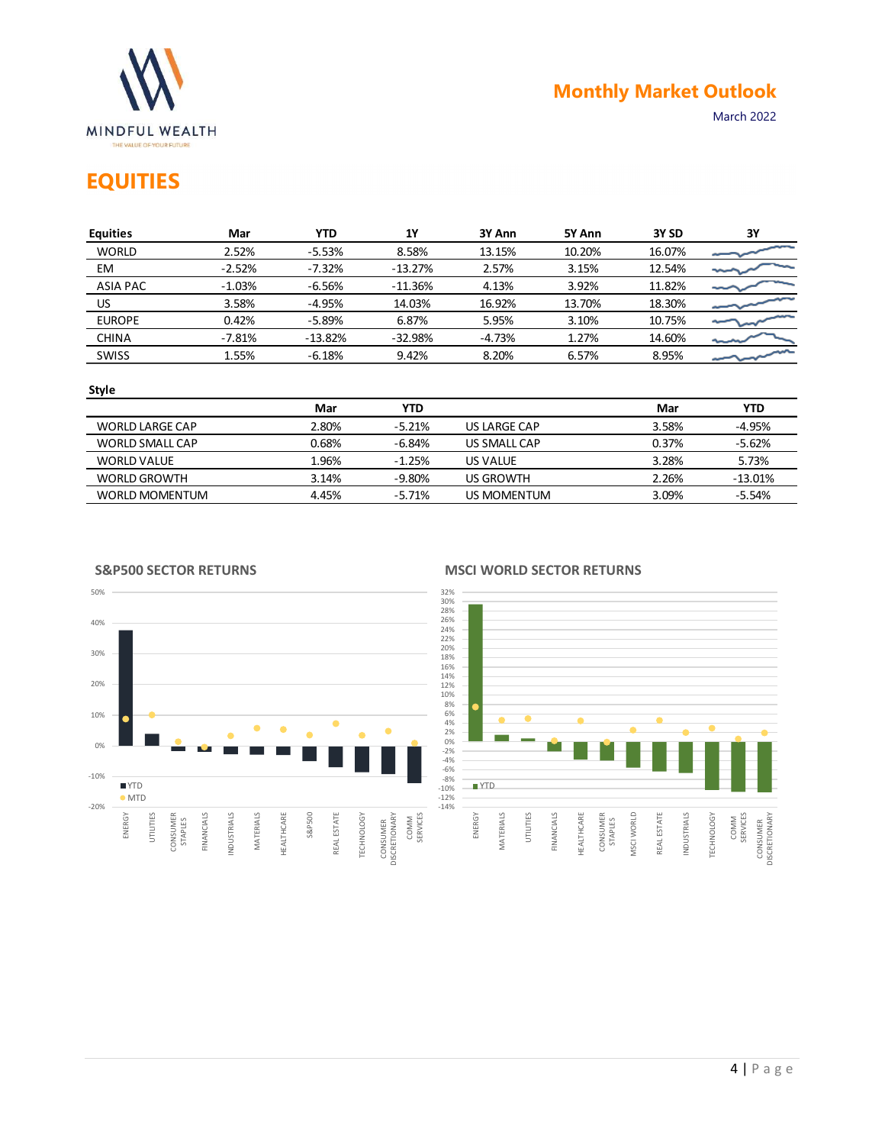

## EQUITIES

|                                                               |          |            |               |                     |        |        | <b>Monthly Market Outlook</b> |
|---------------------------------------------------------------|----------|------------|---------------|---------------------|--------|--------|-------------------------------|
| MINDFUL WEALTH<br>THE VALUE OF YOUR FUTURE<br><b>EQUITIES</b> |          |            |               |                     |        |        | March 2022                    |
| <b>Equities</b>                                               | Mar      | <b>YTD</b> | $1\mathrm{Y}$ | 3Y Ann              | 5Y Ann | 3Y SD  | 3Y                            |
| <b>WORLD</b>                                                  | 2.52%    | $-5.53%$   | 8.58%         | 13.15%              | 10.20% | 16.07% |                               |
| EM                                                            | $-2.52%$ | $-7.32%$   | $-13.27%$     | 2.57%               | 3.15%  | 12.54% |                               |
| <b>ASIA PAC</b>                                               | $-1.03%$ | $-6.56%$   | $-11.36%$     | 4.13%               | 3.92%  | 11.82% |                               |
| US                                                            | 3.58%    | $-4.95%$   | 14.03%        | 16.92%              | 13.70% | 18.30% |                               |
| <b>EUROPE</b>                                                 | 0.42%    | $-5.89%$   | 6.87%         | 5.95%               | 3.10%  | 10.75% |                               |
|                                                               | $-7.81%$ | $-13.82%$  | $-32.98%$     | $-4.73%$            | 1.27%  | 14.60% |                               |
|                                                               |          |            | 9.42%         | 8.20%               | 6.57%  | 8.95%  |                               |
| <b>CHINA</b><br>SWISS                                         | 1.55%    | $-6.18%$   |               |                     |        |        |                               |
| <b>Style</b>                                                  |          |            |               |                     |        |        |                               |
|                                                               |          | Mar        | <b>YTD</b>    |                     |        | Mar    | <b>YTD</b>                    |
| <b>WORLD LARGE CAP</b>                                        |          | 2.80%      | $-5.21%$      | <b>US LARGE CAP</b> |        | 3.58%  | $-4.95%$                      |
| WORLD SMALL CAP                                               |          | 0.68%      | $-6.84%$      | US SMALL CAP        |        | 0.37%  | $-5.62%$                      |
| <b>WORLD VALUE</b>                                            |          | 1.96%      | $-1.25%$      | US VALUE            |        | 3.28%  | 5.73%                         |
| <b>WORLD GROWTH</b>                                           |          | 3.14%      | $-9.80%$      | <b>US GROWTH</b>    |        | 2.26%  | $-13.01%$                     |

#### Style

|                        | Mar   | <b>YTD</b> |              | Mar   | <b>YTD</b> |
|------------------------|-------|------------|--------------|-------|------------|
| <b>WORLD LARGE CAP</b> | 2.80% | $-5.21%$   | US LARGE CAP | 3.58% | -4.95%     |
| <b>WORLD SMALL CAP</b> | 0.68% | $-6.84%$   | US SMALL CAP | 0.37% | $-5.62%$   |
| WORLD VALUE            | 1.96% | $-1.25%$   | US VALUE     | 3.28% | 5.73%      |
| <b>WORLD GROWTH</b>    | 3.14% | $-9.80\%$  | US GROWTH    | 2.26% | $-13.01\%$ |
| <b>WORLD MOMENTUM</b>  | 4.45% | $-5.71%$   | US MOMENTUM  | 3.09% | $-5.54%$   |



#### S&P500 SECTOR RETURNS

#### MSCI WORLD SECTOR RETURNS

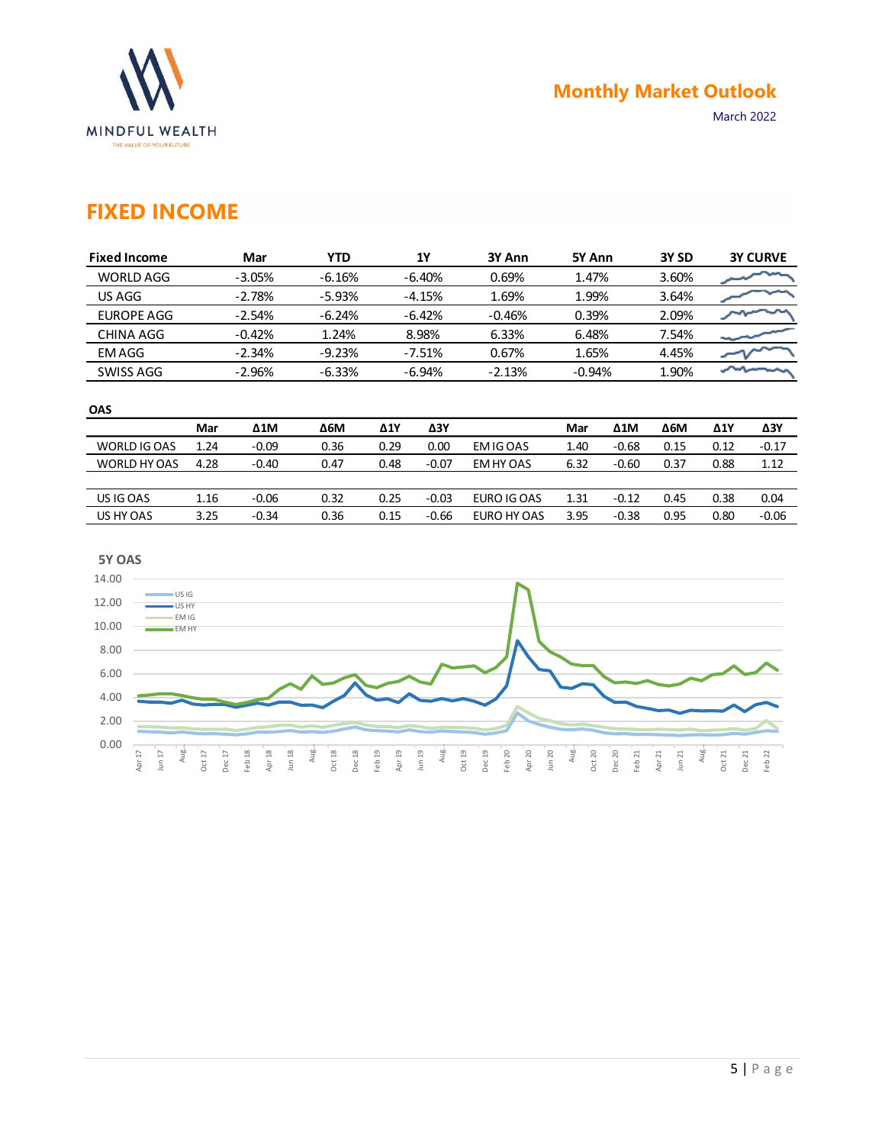

### FIXED INCOME

|                          |              |                    |            |             |                   |             |          |              | <b>Monthly Market Outlook</b> |             |                 |  |
|--------------------------|--------------|--------------------|------------|-------------|-------------------|-------------|----------|--------------|-------------------------------|-------------|-----------------|--|
| <b>MINDFUL WEALTH</b>    |              |                    |            |             |                   |             |          |              |                               | March 2022  |                 |  |
| THE VALUE OF YOUR FUTURE |              |                    |            |             |                   |             |          |              |                               |             |                 |  |
| <b>FIXED INCOME</b>      |              |                    |            |             |                   |             |          |              |                               |             |                 |  |
|                          |              |                    |            |             |                   |             |          |              |                               |             |                 |  |
| <b>Fixed Income</b>      |              | Mar                | <b>YTD</b> |             | <b>1Y</b>         | 3Y Ann      | 5Y Ann   |              | 3Y SD                         |             | <b>3Y CURVE</b> |  |
| <b>WORLD AGG</b>         |              | $-3.05%$           | $-6.16%$   |             | $-6.40%$          | 0.69%       | 1.47%    |              | 3.60%                         |             |                 |  |
| US AGG                   |              | $-2.78%$           | $-5.93%$   |             | 1.69%<br>$-4.15%$ |             | 1.99%    |              | 3.64%                         |             |                 |  |
| <b>EUROPE AGG</b>        |              | $-2.54%$           | $-6.24%$   |             | $-6.42%$          | $-0.46%$    | 0.39%    |              | 2.09%                         |             |                 |  |
| <b>CHINA AGG</b>         |              | $-0.42%$           | 1.24%      |             | 8.98%             | 6.33%       | 6.48%    |              | 7.54%                         |             |                 |  |
| <b>EMAGG</b>             |              | $-2.34%$           | $-9.23%$   |             | $-7.51%$          | 0.67%       | 1.65%    |              | 4.45%                         |             |                 |  |
|                          |              |                    | $-6.33%$   |             | $-6.94%$          | $-2.13%$    | $-0.94%$ |              | 1.90%                         | ∽∽          |                 |  |
| SWISS AGG                |              | $-2.96%$           |            |             |                   |             |          |              |                               |             |                 |  |
|                          |              |                    |            |             |                   |             |          |              |                               |             |                 |  |
| OAS                      | Mar          | $\Delta 1\text{M}$ | <b>Δ6Μ</b> | $\Delta$ 1Y | $\Delta 3Y$       |             | Mar      | $\Delta 1$ M | $\Delta 6M$                   | $\Delta$ 1Y | $\Delta 3Y$     |  |
| WORLD IG OAS             | 1.24         | $-0.09$            | 0.36       | 0.29        | 0.00              | EM IG OAS   | 1.40     | $-0.68$      | 0.15                          | 0.12        | $-0.17$         |  |
| WORLD HY OAS             | 4.28         | $-0.40$            | 0.47       | 0.48        | $-0.07$           | EM HY OAS   | 6.32     | $-0.60$      | 0.37                          | 0.88        | 1.12            |  |
| US IG OAS                | 1.16<br>3.25 | $-0.06$            | 0.32       | 0.25        | $-0.03$           | EURO IG OAS | 1.31     | $-0.12$      | 0.45                          | 0.38        | 0.04            |  |

#### **OAS** *DAS*

|              | Mar  | $\Delta 1$ M | <b>Δ6Μ</b> | $\Delta$ 1Y | ΔЗΥ     |             | Mar  | $\Delta 1$ M | <b>Δ6Μ</b> | Δ1Y  | Δ3Y     |
|--------------|------|--------------|------------|-------------|---------|-------------|------|--------------|------------|------|---------|
| WORLD IG OAS | 1.24 | $-0.09$      | 0.36       | 0.29        | 0.00    | EM IG OAS   | 1.40 | $-0.68$      | 0.15       | 0.12 | $-0.17$ |
| WORLD HY OAS | 4.28 | $-0.40$      | 0.47       | 0.48        | $-0.07$ | EM HY OAS   | 6.32 | $-0.60$      | 0.37       | 0.88 | 1.12    |
|              |      |              |            |             |         |             |      |              |            |      |         |
| US IG OAS    | 1.16 | $-0.06$      | 0.32       | 0.25        | $-0.03$ | EURO IG OAS | 1.31 | $-0.12$      | 0.45       | 0.38 | 0.04    |
| US HY OAS    | 3.25 | $-0.34$      | 0.36       | 0.15        | $-0.66$ | EURO HY OAS | 3.95 | $-0.38$      | 0.95       | 0.80 | $-0.06$ |

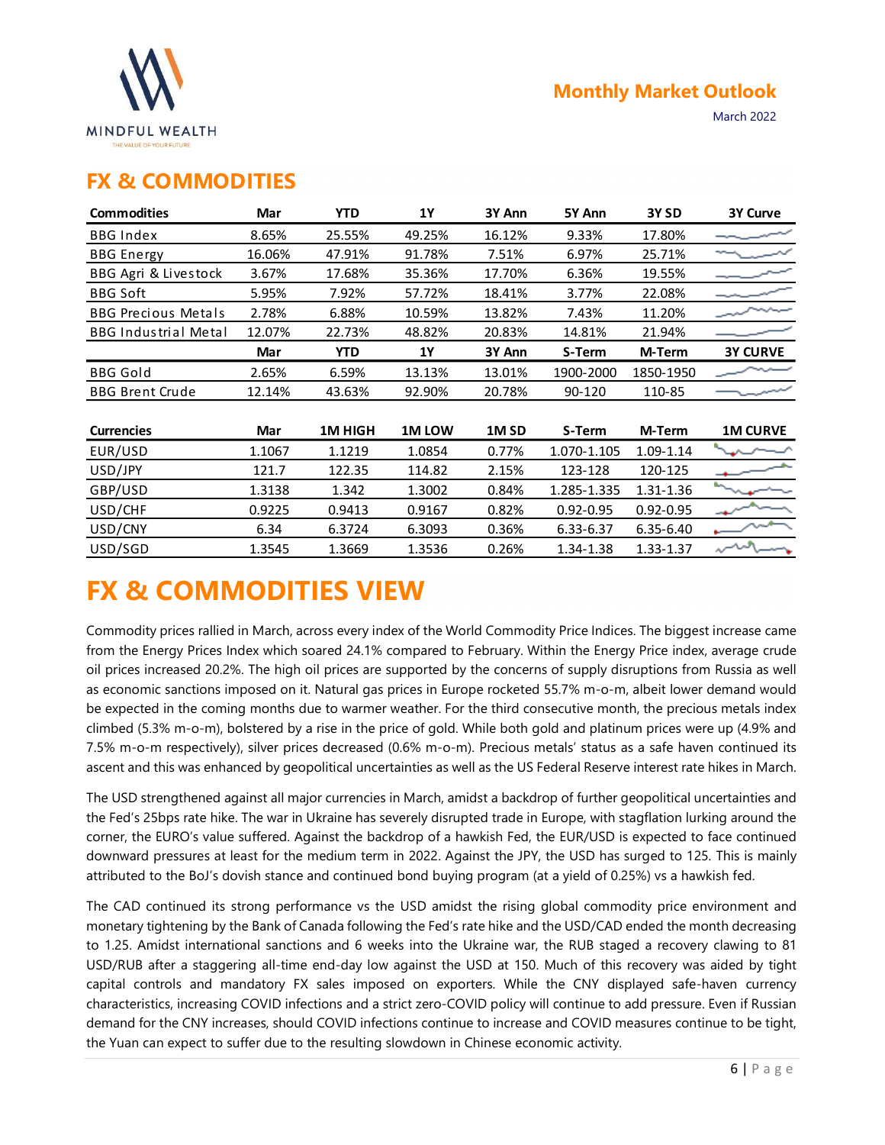

### FX & COMMODITIES

|                                                   |        |            |           |                  |               | <b>Monthly Market Outlook</b> |                 |
|---------------------------------------------------|--------|------------|-----------|------------------|---------------|-------------------------------|-----------------|
| <b>MINDFUL WEALTH</b><br>THE VALUE OF YOUR FUTURE |        |            |           |                  |               |                               | March 2022      |
| <b>FX &amp; COMMODITIES</b>                       |        |            |           |                  |               |                               |                 |
| <b>Commodities</b>                                | Mar    | <b>YTD</b> | <b>1Y</b> | 3Y Ann           | 5Y Ann        | 3Y <sub>SD</sub>              | 3Y Curve        |
| <b>BBG Index</b>                                  | 8.65%  | 25.55%     | 49.25%    | 16.12%           | 9.33%         | 17.80%                        |                 |
| <b>BBG</b> Energy                                 | 16.06% | 47.91%     | 91.78%    | 7.51%            | 6.97%         | 25.71%                        |                 |
| BBG Agri & Livestock                              | 3.67%  | 17.68%     | 35.36%    | 17.70%           | 6.36%         | 19.55%                        |                 |
| <b>BBG Soft</b>                                   | 5.95%  | 7.92%      | 57.72%    | 18.41%           | 3.77%         | 22.08%                        |                 |
| <b>BBG Precious Metals</b>                        | 2.78%  | 6.88%      | 10.59%    | 13.82%           | 7.43%         | 11.20%                        |                 |
| <b>BBG Industrial Metal</b>                       | 12.07% | 22.73%     | 48.82%    | 20.83%           | 14.81%        | 21.94%                        |                 |
|                                                   | Mar    | <b>YTD</b> | <b>1Y</b> | 3Y Ann           | S-Term        | M-Term                        | <b>3Y CURVE</b> |
| <b>BBG Gold</b>                                   | 2.65%  | 6.59%      | 13.13%    | 13.01%           | 1900-2000     | 1850-1950                     |                 |
| <b>BBG Brent Crude</b>                            | 12.14% | 43.63%     | 92.90%    | 20.78%           | 90-120        | 110-85                        |                 |
| <b>Currencies</b>                                 | Mar    | 1M HIGH    | 1M LOW    | 1M <sub>SD</sub> | S-Term        | M-Term                        | <b>1M CURVE</b> |
| EUR/USD                                           | 1.1067 | 1.1219     | 1.0854    | 0.77%            | 1.070-1.105   | 1.09-1.14                     |                 |
| USD/JPY                                           | 121.7  | 122.35     | 114.82    | 2.15%            | 123-128       | 120-125                       |                 |
| GBP/USD                                           | 1.3138 | 1.342      | 1.3002    | 0.84%            | 1.285-1.335   | 1.31-1.36                     |                 |
| USD/CHF                                           | 0.9225 | 0.9413     | 0.9167    | 0.82%            | $0.92 - 0.95$ | $0.92 - 0.95$                 |                 |
| USD/CNY                                           | 6.34   | 6.3724     | 6.3093    | 0.36%            | 6.33-6.37     | 6.35-6.40                     |                 |
| USD/SGD                                           | 1.3545 | 1.3669     | 1.3536    | 0.26%            | 1.34-1.38     | 1.33-1.37                     |                 |

# FX & COMMODITIES VIEW

Commodity prices rallied in March, across every index of the World Commodity Price Indices. The biggest increase came from the Energy Prices Index which soared 24.1% compared to February. Within the Energy Price index, average crude oil prices increased 20.2%. The high oil prices are supported by the concerns of supply disruptions from Russia as well as economic sanctions imposed on it. Natural gas prices in Europe rocketed 55.7% m-o-m, albeit lower demand would be expected in the coming months due to warmer weather. For the third consecutive month, the precious metals index climbed (5.3% m-o-m), bolstered by a rise in the price of gold. While both gold and platinum prices were up (4.9% and 7.5% m-o-m respectively), silver prices decreased (0.6% m-o-m). Precious metals' status as a safe haven continued its ascent and this was enhanced by geopolitical uncertainties as well as the US Federal Reserve interest rate hikes in March.

The USD strengthened against all major currencies in March, amidst a backdrop of further geopolitical uncertainties and the Fed's 25bps rate hike. The war in Ukraine has severely disrupted trade in Europe, with stagflation lurking around the corner, the EURO's value suffered. Against the backdrop of a hawkish Fed, the EUR/USD is expected to face continued downward pressures at least for the medium term in 2022. Against the JPY, the USD has surged to 125. This is mainly attributed to the BoJ's dovish stance and continued bond buying program (at a yield of 0.25%) vs a hawkish fed.

The CAD continued its strong performance vs the USD amidst the rising global commodity price environment and monetary tightening by the Bank of Canada following the Fed's rate hike and the USD/CAD ended the month decreasing to 1.25. Amidst international sanctions and 6 weeks into the Ukraine war, the RUB staged a recovery clawing to 81 USD/RUB after a staggering all-time end-day low against the USD at 150. Much of this recovery was aided by tight capital controls and mandatory FX sales imposed on exporters. While the CNY displayed safe-haven currency characteristics, increasing COVID infections and a strict zero-COVID policy will continue to add pressure. Even if Russian demand for the CNY increases, should COVID infections continue to increase and COVID measures continue to be tight, the Yuan can expect to suffer due to the resulting slowdown in Chinese economic activity.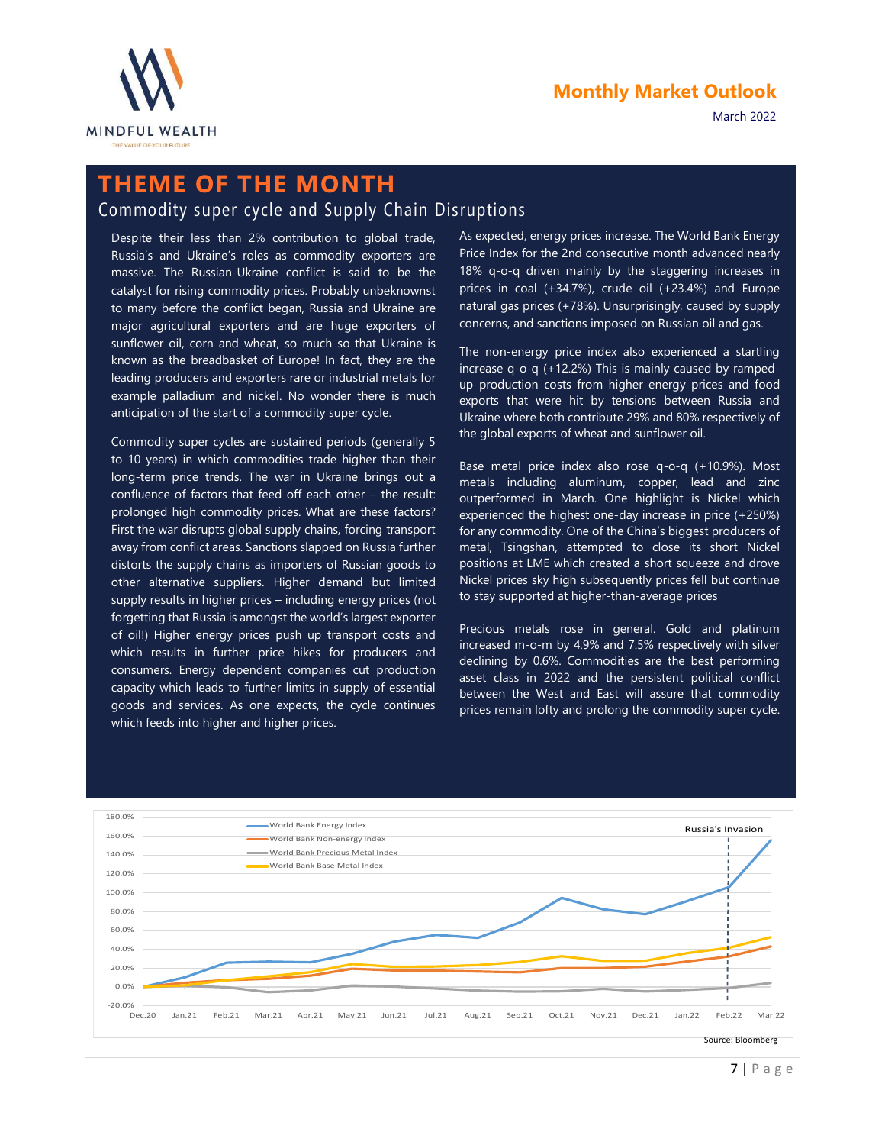

March 2022

## THEME OF THE MONTH

### Commodity super cycle and Supply Chain Disruptions

Despite their less than 2% contribution to global trade, Russia's and Ukraine's roles as commodity exporters are massive. The Russian-Ukraine conflict is said to be the catalyst for rising commodity prices. Probably unbeknownst to many before the conflict began, Russia and Ukraine are major agricultural exporters and are huge exporters of sunflower oil, corn and wheat, so much so that Ukraine is known as the breadbasket of Europe! In fact, they are the leading producers and exporters rare or industrial metals for example palladium and nickel. No wonder there is much anticipation of the start of a commodity super cycle.

Commodity super cycles are sustained periods (generally 5 to 10 years) in which commodities trade higher than their long-term price trends. The war in Ukraine brings out a confluence of factors that feed off each other – the result: prolonged high commodity prices. What are these factors? First the war disrupts global supply chains, forcing transport away from conflict areas. Sanctions slapped on Russia further distorts the supply chains as importers of Russian goods to other alternative suppliers. Higher demand but limited supply results in higher prices – including energy prices (not forgetting that Russia is amongst the world's largest exporter of oil!) Higher energy prices push up transport costs and which results in further price hikes for producers and consumers. Energy dependent companies cut production capacity which leads to further limits in supply of essential goods and services. As one expects, the cycle continues which feeds into higher and higher prices.

As expected, energy prices increase. The World Bank Energy Price Index for the 2nd consecutive month advanced nearly 18% q-o-q driven mainly by the staggering increases in prices in coal (+34.7%), crude oil (+23.4%) and Europe natural gas prices (+78%). Unsurprisingly, caused by supply concerns, and sanctions imposed on Russian oil and gas.

The non-energy price index also experienced a startling increase q-o-q (+12.2%) This is mainly caused by ramped up production costs from higher energy prices and food exports that were hit by tensions between Russia and Ukraine where both contribute 29% and 80% respectively of the global exports of wheat and sunflower oil.

Base metal price index also rose q-o-q (+10.9%). Most metals including aluminum, copper, lead and zinc outperformed in March. One highlight is Nickel which experienced the highest one-day increase in price (+250%) for any commodity. One of the China's biggest producers of metal, Tsingshan, attempted to close its short Nickel positions at LME which created a short squeeze and drove Nickel prices sky high subsequently prices fell but continue to stay supported at higher-than-average prices

Precious metals rose in general. Gold and platinum increased m-o-m by 4.9% and 7.5% respectively with silver declining by 0.6%. Commodities are the best performing asset class in 2022 and the persistent political conflict between the West and East will assure that commodity prices remain lofty and prolong the commodity super cycle.

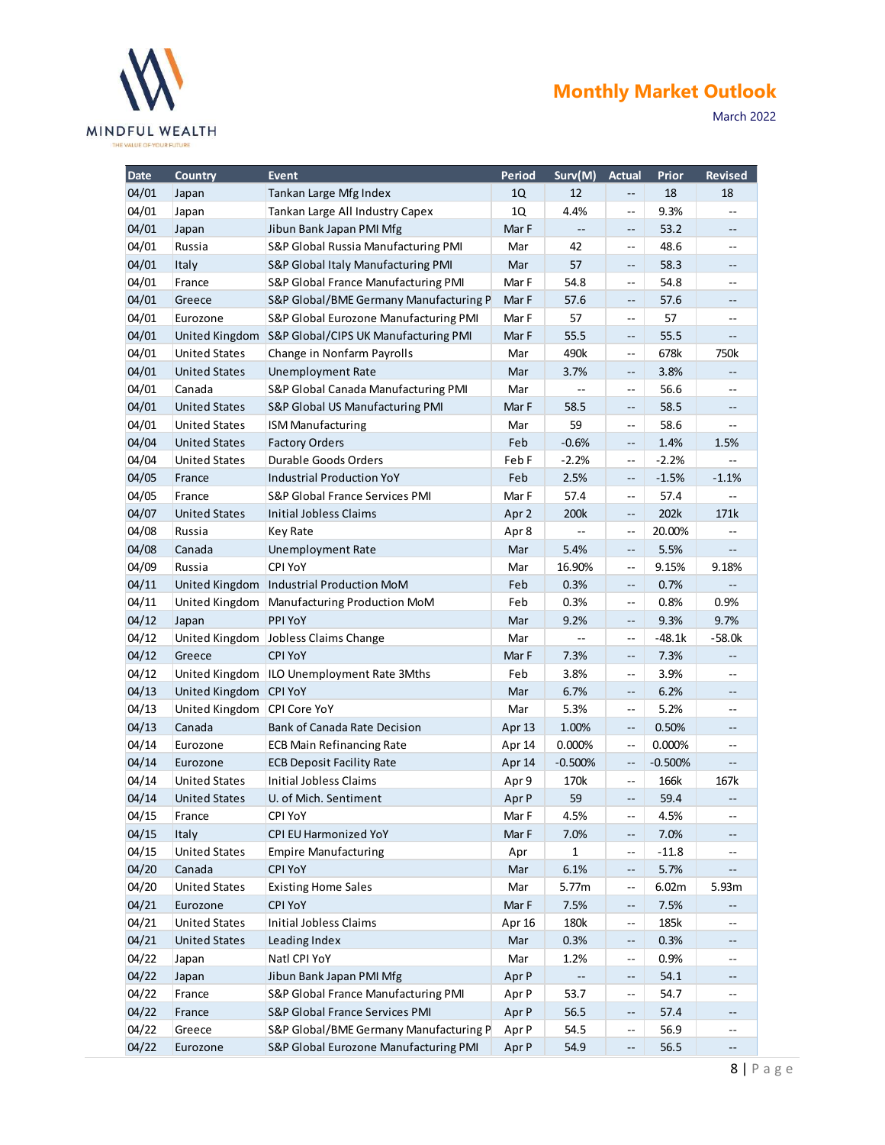

| Date<br>04/01<br>04/01<br>04/01<br>04/01<br>04/01<br>04/01<br>04/01<br>04/01<br>04/04<br>04/04<br>04/05 | Country<br>Japan<br>Japan<br>Japan<br>Russia<br>Italy<br>France<br>Greece<br>Eurozone<br><b>United States</b><br><b>United States</b><br>Canada<br><b>United States</b><br><b>United States</b><br><b>United States</b><br><b>United States</b> | <b>Event</b><br>Tankan Large Mfg Index<br>Tankan Large All Industry Capex<br>Jibun Bank Japan PMI Mfg<br>S&P Global Russia Manufacturing PMI<br>S&P Global Italy Manufacturing PMI<br>S&P Global France Manufacturing PMI<br>S&P Global/BME Germany Manufacturing P<br>S&P Global Eurozone Manufacturing PMI<br>United Kingdom S&P Global/CIPS UK Manufacturing PMI<br>Change in Nonfarm Payrolls<br><b>Unemployment Rate</b><br>S&P Global Canada Manufacturing PMI<br>S&P Global US Manufacturing PMI | Period<br>1Q<br>1Q<br>Mar F<br>Mar<br>Mar<br>Mar F<br>Mar F<br>Mar F<br>Mar F<br>Mar | Surv(M)<br>12<br>4.4%<br>$\overline{\phantom{a}}$<br>42<br>57<br>54.8<br>57.6 | <b>Actual</b><br>$- -$<br>$\sim$<br>$\qquad \qquad -$<br>$\sim$ –<br>$\overline{\phantom{a}}$<br>$\sim$ | Prior<br>18<br>9.3%<br>53.2<br>48.6<br>58.3 | <b>Revised</b><br>18<br>$\overline{\phantom{m}}$<br>$\overline{\phantom{a}}$ |
|---------------------------------------------------------------------------------------------------------|-------------------------------------------------------------------------------------------------------------------------------------------------------------------------------------------------------------------------------------------------|---------------------------------------------------------------------------------------------------------------------------------------------------------------------------------------------------------------------------------------------------------------------------------------------------------------------------------------------------------------------------------------------------------------------------------------------------------------------------------------------------------|--------------------------------------------------------------------------------------|-------------------------------------------------------------------------------|---------------------------------------------------------------------------------------------------------|---------------------------------------------|------------------------------------------------------------------------------|
| 04/01<br>04/01<br>04/01<br>04/01<br>04/01<br>04/01<br>04/05<br>04/07                                    |                                                                                                                                                                                                                                                 |                                                                                                                                                                                                                                                                                                                                                                                                                                                                                                         |                                                                                      |                                                                               |                                                                                                         |                                             |                                                                              |
|                                                                                                         |                                                                                                                                                                                                                                                 |                                                                                                                                                                                                                                                                                                                                                                                                                                                                                                         |                                                                                      |                                                                               |                                                                                                         |                                             |                                                                              |
|                                                                                                         |                                                                                                                                                                                                                                                 |                                                                                                                                                                                                                                                                                                                                                                                                                                                                                                         |                                                                                      |                                                                               |                                                                                                         |                                             |                                                                              |
|                                                                                                         |                                                                                                                                                                                                                                                 |                                                                                                                                                                                                                                                                                                                                                                                                                                                                                                         |                                                                                      |                                                                               |                                                                                                         |                                             | $\mathord{\hspace{1pt}\text{--}\hspace{1pt}}$                                |
|                                                                                                         |                                                                                                                                                                                                                                                 |                                                                                                                                                                                                                                                                                                                                                                                                                                                                                                         |                                                                                      |                                                                               |                                                                                                         |                                             | $\overline{\phantom{m}}$                                                     |
|                                                                                                         |                                                                                                                                                                                                                                                 |                                                                                                                                                                                                                                                                                                                                                                                                                                                                                                         |                                                                                      |                                                                               |                                                                                                         | 54.8                                        | $- -$                                                                        |
|                                                                                                         |                                                                                                                                                                                                                                                 |                                                                                                                                                                                                                                                                                                                                                                                                                                                                                                         |                                                                                      |                                                                               | $- \,$                                                                                                  | 57.6                                        | $- -$                                                                        |
|                                                                                                         |                                                                                                                                                                                                                                                 |                                                                                                                                                                                                                                                                                                                                                                                                                                                                                                         |                                                                                      | 57                                                                            | $\overline{\phantom{a}}$                                                                                | 57                                          | $\overline{\phantom{a}}$                                                     |
|                                                                                                         |                                                                                                                                                                                                                                                 |                                                                                                                                                                                                                                                                                                                                                                                                                                                                                                         |                                                                                      | 55.5                                                                          | $\overline{\phantom{m}}$                                                                                | 55.5                                        | $\overline{\phantom{a}}$                                                     |
|                                                                                                         |                                                                                                                                                                                                                                                 |                                                                                                                                                                                                                                                                                                                                                                                                                                                                                                         |                                                                                      | 490k                                                                          | $\overline{\phantom{m}}$                                                                                | 678k                                        | 750k                                                                         |
|                                                                                                         |                                                                                                                                                                                                                                                 |                                                                                                                                                                                                                                                                                                                                                                                                                                                                                                         | Mar                                                                                  | 3.7%                                                                          | $\overline{\phantom{m}}$                                                                                | 3.8%                                        | $\overline{\phantom{a}}$                                                     |
|                                                                                                         |                                                                                                                                                                                                                                                 |                                                                                                                                                                                                                                                                                                                                                                                                                                                                                                         | Mar<br>Mar F                                                                         | $\overline{\phantom{a}}$<br>58.5                                              | $\mathord{\hspace{1pt}\text{--}\hspace{1pt}}$<br>$\overline{\phantom{m}}$                               | 56.6<br>58.5                                | $\mathord{\hspace{1pt}\text{--}\hspace{1pt}}$<br>$\overline{\phantom{a}}$    |
|                                                                                                         |                                                                                                                                                                                                                                                 | <b>ISM Manufacturing</b>                                                                                                                                                                                                                                                                                                                                                                                                                                                                                | Mar                                                                                  | 59                                                                            | $\qquad \qquad -$                                                                                       | 58.6                                        | $\overline{\phantom{a}}$                                                     |
|                                                                                                         |                                                                                                                                                                                                                                                 | <b>Factory Orders</b>                                                                                                                                                                                                                                                                                                                                                                                                                                                                                   | Feb                                                                                  | $-0.6%$                                                                       | $\overline{\phantom{m}}$                                                                                | 1.4%                                        | 1.5%                                                                         |
|                                                                                                         |                                                                                                                                                                                                                                                 | Durable Goods Orders                                                                                                                                                                                                                                                                                                                                                                                                                                                                                    | Feb F                                                                                | $-2.2%$                                                                       | $- -$                                                                                                   | $-2.2%$                                     | $- -$                                                                        |
|                                                                                                         | France                                                                                                                                                                                                                                          | <b>Industrial Production YoY</b>                                                                                                                                                                                                                                                                                                                                                                                                                                                                        | Feb                                                                                  | 2.5%                                                                          | $\hspace{0.05cm} \dashrightarrow$                                                                       | $-1.5%$                                     | $-1.1%$                                                                      |
|                                                                                                         | France                                                                                                                                                                                                                                          | S&P Global France Services PMI                                                                                                                                                                                                                                                                                                                                                                                                                                                                          | Mar F                                                                                | 57.4                                                                          | $\mathord{\hspace{1pt}\text{--}\hspace{1pt}}$                                                           | 57.4                                        | $\mathcal{L}_{\mathcal{F}}$                                                  |
|                                                                                                         | <b>United States</b>                                                                                                                                                                                                                            | Initial Jobless Claims                                                                                                                                                                                                                                                                                                                                                                                                                                                                                  | Apr 2                                                                                | 200k                                                                          | $\hspace{0.05cm} -\hspace{0.05cm} -\hspace{0.05cm}$                                                     | 202k                                        | 171k                                                                         |
| 04/08                                                                                                   | Russia                                                                                                                                                                                                                                          | Key Rate                                                                                                                                                                                                                                                                                                                                                                                                                                                                                                | Apr 8                                                                                | $\mathord{\hspace{1pt}\text{--}\hspace{1pt}}$                                 | $\mathord{\hspace{1pt}\text{--}\hspace{1pt}}$                                                           | 20.00%                                      | $- -$                                                                        |
| 04/08                                                                                                   | Canada                                                                                                                                                                                                                                          | Unemployment Rate                                                                                                                                                                                                                                                                                                                                                                                                                                                                                       | Mar                                                                                  | 5.4%                                                                          | $\overline{\phantom{a}}$                                                                                | 5.5%                                        | $\overline{\phantom{a}}$                                                     |
| 04/09                                                                                                   | Russia                                                                                                                                                                                                                                          | CPI YoY<br>United Kingdom   Industrial Production MoM                                                                                                                                                                                                                                                                                                                                                                                                                                                   | Mar<br>Feb                                                                           | 16.90%<br>0.3%                                                                | $\rightarrow$                                                                                           | 9.15%                                       | 9.18%                                                                        |
| 04/11<br>04/11                                                                                          |                                                                                                                                                                                                                                                 | United Kingdom   Manufacturing Production MoM                                                                                                                                                                                                                                                                                                                                                                                                                                                           | Feb                                                                                  | 0.3%                                                                          | $- \,$<br>$\rightarrow$                                                                                 | 0.7%<br>0.8%                                | $\overline{\phantom{m}}$<br>0.9%                                             |
| 04/12                                                                                                   | Japan                                                                                                                                                                                                                                           | PPI YoY                                                                                                                                                                                                                                                                                                                                                                                                                                                                                                 | Mar                                                                                  | 9.2%                                                                          | $\overline{\phantom{m}}$                                                                                | 9.3%                                        | 9.7%                                                                         |
| 04/12                                                                                                   |                                                                                                                                                                                                                                                 | United Kingdom Jobless Claims Change                                                                                                                                                                                                                                                                                                                                                                                                                                                                    | Mar                                                                                  | $\mathord{\hspace{1pt}\text{--}\hspace{1pt}}$                                 | $\sim$                                                                                                  | $-48.1k$                                    | $-58.0k$                                                                     |
| 04/12                                                                                                   | Greece                                                                                                                                                                                                                                          | <b>CPI YoY</b>                                                                                                                                                                                                                                                                                                                                                                                                                                                                                          | Mar F                                                                                | 7.3%                                                                          | $\rightarrow$                                                                                           | 7.3%                                        | $\sim$                                                                       |
| 04/12                                                                                                   |                                                                                                                                                                                                                                                 | United Kingdom   ILO Unemployment Rate 3Mths                                                                                                                                                                                                                                                                                                                                                                                                                                                            | Feb                                                                                  | 3.8%                                                                          | $\mathord{\hspace{1pt}\text{--}\hspace{1pt}}$                                                           | 3.9%                                        | $\mathcal{L}_{\mathcal{F}}$                                                  |
| 04/13                                                                                                   | United Kingdom CPI YoY                                                                                                                                                                                                                          |                                                                                                                                                                                                                                                                                                                                                                                                                                                                                                         | Mar                                                                                  | 6.7%                                                                          | $- \,$                                                                                                  | 6.2%                                        | $\overline{\phantom{a}}$                                                     |
| 04/13                                                                                                   | United Kingdom CPI Core YoY                                                                                                                                                                                                                     |                                                                                                                                                                                                                                                                                                                                                                                                                                                                                                         | Mar                                                                                  | 5.3%                                                                          | $\qquad \qquad -$                                                                                       | 5.2%                                        | $- -$                                                                        |
| 04/13                                                                                                   | Canada                                                                                                                                                                                                                                          | Bank of Canada Rate Decision                                                                                                                                                                                                                                                                                                                                                                                                                                                                            | Apr 13                                                                               | 1.00%                                                                         | $\overline{\phantom{a}}$                                                                                | 0.50%                                       | $- -$                                                                        |
| 04/14                                                                                                   | Eurozone                                                                                                                                                                                                                                        | <b>ECB Main Refinancing Rate</b>                                                                                                                                                                                                                                                                                                                                                                                                                                                                        | Apr 14                                                                               | 0.000%                                                                        | $\mathord{\hspace{1pt}\text{--}\hspace{1pt}}$                                                           | 0.000%                                      | $\mathcal{L}_{\mathcal{F}}$                                                  |
| 04/14<br>04/14                                                                                          | Eurozone<br><b>United States</b>                                                                                                                                                                                                                | <b>ECB Deposit Facility Rate</b><br>Initial Jobless Claims                                                                                                                                                                                                                                                                                                                                                                                                                                              | Apr 14<br>Apr 9                                                                      | $-0.500%$<br>170k                                                             | $\overline{\phantom{a}}$<br>$\mathord{\hspace{1pt}\text{--}\hspace{1pt}}$                               | $-0.500%$<br>166k                           | $\overline{\phantom{a}}$<br>167k                                             |
| 04/14                                                                                                   | <b>United States</b>                                                                                                                                                                                                                            | U. of Mich. Sentiment                                                                                                                                                                                                                                                                                                                                                                                                                                                                                   | Apr P                                                                                | 59                                                                            | $\mathord{\hspace{1pt}\text{--}\hspace{1pt}}$                                                           | 59.4                                        | $\overline{\phantom{a}}$                                                     |
| 04/15                                                                                                   | France                                                                                                                                                                                                                                          | CPI YoY                                                                                                                                                                                                                                                                                                                                                                                                                                                                                                 | Mar F                                                                                | 4.5%                                                                          | $\sim$                                                                                                  | 4.5%                                        | $\sim$ $-$                                                                   |
| 04/15                                                                                                   | Italy                                                                                                                                                                                                                                           | CPI EU Harmonized YoY                                                                                                                                                                                                                                                                                                                                                                                                                                                                                   | Mar F                                                                                | 7.0%                                                                          | $\hspace{0.05cm} \dashrightarrow$                                                                       | 7.0%                                        | $\overline{\phantom{a}}$                                                     |
| 04/15                                                                                                   | <b>United States</b>                                                                                                                                                                                                                            | <b>Empire Manufacturing</b>                                                                                                                                                                                                                                                                                                                                                                                                                                                                             | Apr                                                                                  | $\mathbf{1}$                                                                  | $\mathord{\hspace{1pt}\text{--}\hspace{1pt}}$                                                           | $-11.8$                                     | $- -$                                                                        |
| 04/20                                                                                                   | Canada                                                                                                                                                                                                                                          | <b>CPI YoY</b>                                                                                                                                                                                                                                                                                                                                                                                                                                                                                          | Mar                                                                                  | 6.1%                                                                          | $\rightarrow$                                                                                           | 5.7%                                        | $\overline{\phantom{a}}$                                                     |
| 04/20                                                                                                   | <b>United States</b>                                                                                                                                                                                                                            | <b>Existing Home Sales</b>                                                                                                                                                                                                                                                                                                                                                                                                                                                                              | Mar                                                                                  | 5.77m                                                                         | $\mathord{\hspace{1pt}\text{--}\hspace{1pt}}$                                                           | 6.02m                                       | 5.93m                                                                        |
| 04/21                                                                                                   | Eurozone                                                                                                                                                                                                                                        | <b>CPI YoY</b>                                                                                                                                                                                                                                                                                                                                                                                                                                                                                          | Mar F                                                                                | 7.5%                                                                          | $\overline{\phantom{a}}$                                                                                | 7.5%                                        | $\overline{\phantom{a}}$                                                     |
| 04/21                                                                                                   | <b>United States</b>                                                                                                                                                                                                                            | Initial Jobless Claims                                                                                                                                                                                                                                                                                                                                                                                                                                                                                  | Apr 16                                                                               | 180k                                                                          | $\rightarrow$                                                                                           | 185k                                        | $\mathcal{L}_{\mathcal{F}}$                                                  |
| 04/21                                                                                                   | <b>United States</b>                                                                                                                                                                                                                            | Leading Index                                                                                                                                                                                                                                                                                                                                                                                                                                                                                           | Mar                                                                                  | 0.3%                                                                          | $- \,$                                                                                                  | 0.3%                                        | $\overline{\phantom{a}}$                                                     |
| 04/22<br>04/22                                                                                          | Japan<br>Japan                                                                                                                                                                                                                                  | Natl CPI YoY<br>Jibun Bank Japan PMI Mfg                                                                                                                                                                                                                                                                                                                                                                                                                                                                | Mar<br>Apr P                                                                         | 1.2%<br>$\sim$                                                                | $\mathord{\hspace{1pt}\text{--}\hspace{1pt}}$<br>$\rightarrow$                                          | 0.9%<br>54.1                                | $\mathcal{L}_{\mathcal{F}}$<br>$\overline{\phantom{a}}$                      |
| 04/22                                                                                                   | France                                                                                                                                                                                                                                          | S&P Global France Manufacturing PMI                                                                                                                                                                                                                                                                                                                                                                                                                                                                     | Apr P                                                                                | 53.7                                                                          | $\mathord{\hspace{1pt}\text{--}\hspace{1pt}}$                                                           | 54.7                                        | $\mathcal{L}_{\mathcal{F}}$                                                  |
| 04/22                                                                                                   | France                                                                                                                                                                                                                                          | S&P Global France Services PMI                                                                                                                                                                                                                                                                                                                                                                                                                                                                          | Apr P                                                                                | 56.5                                                                          | $\mathord{\hspace{1pt}\text{--}\hspace{1pt}}$                                                           | 57.4                                        | $\overline{\phantom{a}}$                                                     |
| 04/22                                                                                                   | Greece                                                                                                                                                                                                                                          | S&P Global/BME Germany Manufacturing P                                                                                                                                                                                                                                                                                                                                                                                                                                                                  | Apr P                                                                                | 54.5                                                                          | ٠.                                                                                                      | 56.9                                        | $\mathcal{L}_{\mathcal{F}}$                                                  |
| 04/22                                                                                                   | Eurozone                                                                                                                                                                                                                                        | S&P Global Eurozone Manufacturing PMI                                                                                                                                                                                                                                                                                                                                                                                                                                                                   | Apr P                                                                                | 54.9                                                                          | $\overline{\phantom{a}}$                                                                                | 56.5                                        | $- -$                                                                        |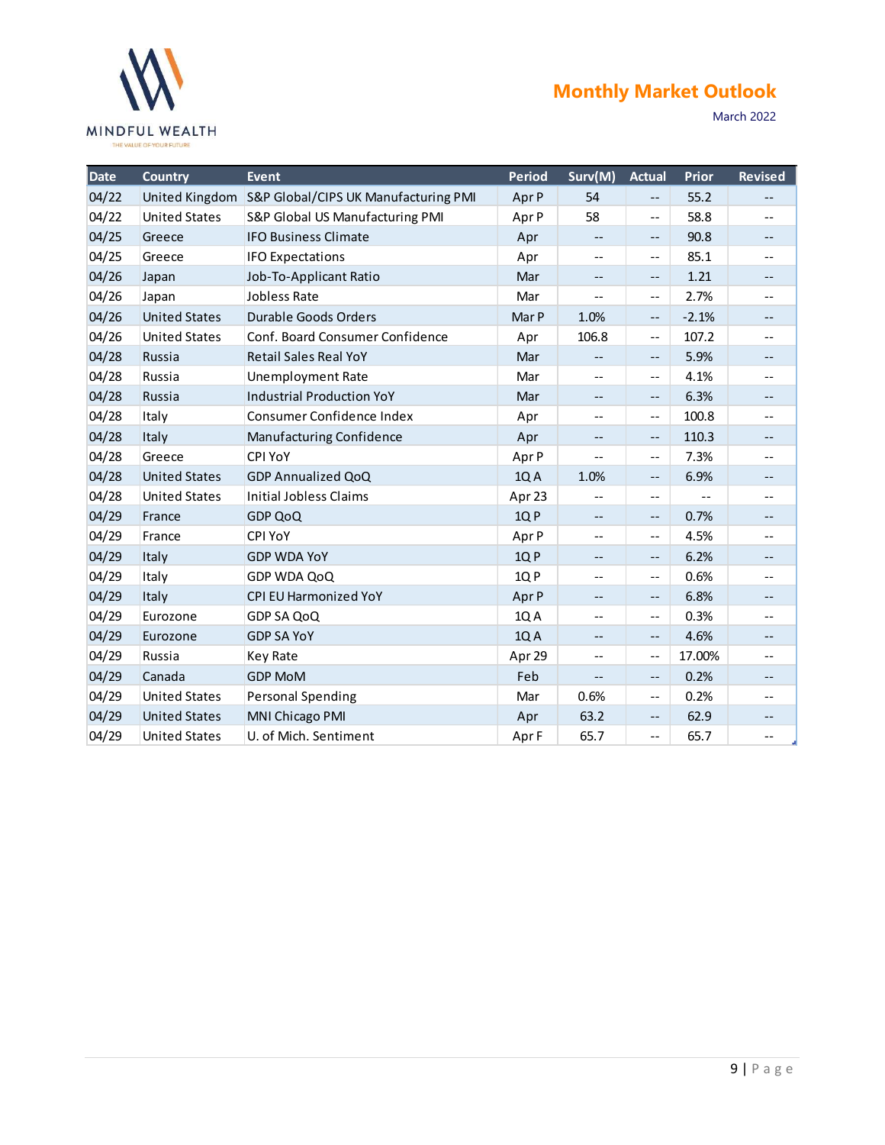

|       | <b>MINDFUL WEALTH</b><br>THE VALUE OF YOUR FUTURE |                                      | <b>Monthly Market Outlook</b><br>March 2022 |                                                       |                                               |                                               |                          |  |  |  |  |  |
|-------|---------------------------------------------------|--------------------------------------|---------------------------------------------|-------------------------------------------------------|-----------------------------------------------|-----------------------------------------------|--------------------------|--|--|--|--|--|
| Date  | <b>Country</b>                                    | <b>Event</b>                         | <b>Period</b>                               | Surv(M)                                               | <b>Actual</b>                                 | Prior                                         | <b>Revised</b>           |  |  |  |  |  |
| 04/22 | United Kingdom                                    | S&P Global/CIPS UK Manufacturing PMI | Apr P                                       | 54                                                    | $- -$                                         | 55.2                                          | $- -$                    |  |  |  |  |  |
| 04/22 | <b>United States</b>                              | S&P Global US Manufacturing PMI      | Apr P                                       | 58                                                    | $\overline{\phantom{a}}$                      | 58.8                                          | $\overline{\phantom{m}}$ |  |  |  |  |  |
| 04/25 | Greece                                            | <b>IFO Business Climate</b>          | Apr                                         | $\overline{\phantom{a}}$                              | $\overline{\phantom{m}}$                      | 90.8                                          | $\overline{\phantom{a}}$ |  |  |  |  |  |
| 04/25 | Greece                                            | <b>IFO Expectations</b>              | Apr                                         | $\overline{\phantom{m}}$                              | $\overline{\phantom{a}}$                      | 85.1                                          | $\overline{\phantom{m}}$ |  |  |  |  |  |
| 04/26 | Japan                                             | Job-To-Applicant Ratio               | Mar                                         | $\overline{\phantom{m}}$                              | $\overline{\phantom{m}}$                      | 1.21                                          | $\overline{\phantom{a}}$ |  |  |  |  |  |
| 04/26 | Japan                                             | Jobless Rate                         | Mar                                         | $-\,-$                                                | $\overline{\phantom{m}}$                      | 2.7%                                          | $\overline{\phantom{m}}$ |  |  |  |  |  |
| 04/26 | <b>United States</b>                              | Durable Goods Orders                 | Mar P                                       | 1.0%                                                  | $- -$                                         | $-2.1%$                                       | $\overline{\phantom{a}}$ |  |  |  |  |  |
| 04/26 | <b>United States</b>                              | Conf. Board Consumer Confidence      | Apr                                         | 106.8                                                 | $\overline{\phantom{a}}$                      | 107.2                                         | $\qquad \qquad -$        |  |  |  |  |  |
| 04/28 | Russia                                            | <b>Retail Sales Real YoY</b>         | Mar                                         | $- -$                                                 | $\overline{\phantom{m}}$                      | 5.9%                                          | $\overline{\phantom{a}}$ |  |  |  |  |  |
| 04/28 | Russia                                            | <b>Unemployment Rate</b>             | Mar                                         | $\hspace{0.05cm} - \hspace{0.05cm} - \hspace{0.05cm}$ | $\overline{\phantom{m}}$                      | 4.1%                                          | $--$                     |  |  |  |  |  |
| 04/28 | Russia                                            | <b>Industrial Production YoY</b>     | Mar                                         | $- -$                                                 | $\overline{\phantom{m}}$                      | 6.3%                                          | $\overline{\phantom{a}}$ |  |  |  |  |  |
| 04/28 | Italy                                             | Consumer Confidence Index            | Apr                                         | $-\, -$                                               | $\overline{\phantom{m}}$                      | 100.8                                         | $\overline{\phantom{m}}$ |  |  |  |  |  |
| 04/28 | Italy                                             | Manufacturing Confidence             | Apr                                         | $--$                                                  | $\overline{\phantom{m}}$                      | 110.3                                         | $\qquad \qquad -$        |  |  |  |  |  |
| 04/28 | Greece                                            | <b>CPI YoY</b>                       | Apr P                                       | $-$                                                   | $\overline{\phantom{a}}$                      | 7.3%                                          | $\qquad \qquad -$        |  |  |  |  |  |
| 04/28 | <b>United States</b>                              | <b>GDP Annualized QoQ</b>            | 1QA                                         | 1.0%                                                  | $- -$                                         | 6.9%                                          | $\overline{\phantom{a}}$ |  |  |  |  |  |
| 04/28 | <b>United States</b>                              | <b>Initial Jobless Claims</b>        | Apr 23                                      | $\overline{\phantom{a}}$                              | $- -$                                         | $\mathord{\hspace{1pt}\text{--}\hspace{1pt}}$ | $\overline{\phantom{a}}$ |  |  |  |  |  |
| 04/29 | France                                            | <b>GDP QoQ</b>                       | 1QP                                         | $\overline{\phantom{a}}$                              | $\mathord{\hspace{1pt}\text{--}\hspace{1pt}}$ | 0.7%                                          | $- -$                    |  |  |  |  |  |
| 04/29 | France                                            | <b>CPI YoY</b>                       | Apr P                                       | $\overline{\phantom{a}}$                              | $- -$                                         | 4.5%                                          | $\overline{\phantom{a}}$ |  |  |  |  |  |
| 04/29 | Italy                                             | <b>GDP WDA YoY</b>                   | 1QP                                         | $- -$                                                 | $- -$                                         | 6.2%                                          | $- -$                    |  |  |  |  |  |
| 04/29 | Italy                                             | GDP WDA QoQ                          | 1QP                                         | $\overline{\phantom{m}}$                              | $\overline{\phantom{a}}$                      | 0.6%                                          | $\overline{\phantom{a}}$ |  |  |  |  |  |
| 04/29 | Italy                                             | CPI EU Harmonized YoY                | Apr P                                       | $- -$                                                 | $\mathord{\hspace{1pt}\text{--}\hspace{1pt}}$ | 6.8%                                          | $- -$                    |  |  |  |  |  |
| 04/29 | Eurozone                                          | GDP SA QoQ                           | 1QA                                         | $-\,-$                                                | $- -$                                         | 0.3%                                          | $\overline{\phantom{a}}$ |  |  |  |  |  |
| 04/29 | Eurozone                                          | <b>GDP SA YoY</b>                    | 1QA                                         | $- -$                                                 | $- -$                                         | 4.6%                                          | $\overline{\phantom{a}}$ |  |  |  |  |  |
| 04/29 | Russia                                            | Key Rate                             | Apr 29                                      | $-\, -$                                               | $- -$                                         | 17.00%                                        | $\overline{\phantom{a}}$ |  |  |  |  |  |
| 04/29 | Canada                                            | <b>GDP MoM</b>                       | Feb                                         | $\overline{\phantom{a}}$                              | $- -$                                         | 0.2%                                          | $\overline{\phantom{a}}$ |  |  |  |  |  |
| 04/29 | <b>United States</b>                              | <b>Personal Spending</b>             | Mar                                         | 0.6%                                                  | $- -$                                         | 0.2%                                          | $- -$                    |  |  |  |  |  |
| 04/29 | <b>United States</b>                              | MNI Chicago PMI                      | Apr                                         | 63.2                                                  | $\mathord{\hspace{1pt}\text{--}\hspace{1pt}}$ | 62.9                                          | $- -$                    |  |  |  |  |  |
| 04/29 | <b>United States</b>                              | U. of Mich. Sentiment                | Apr F                                       | 65.7                                                  | $\mathbb{H}^{\mathbb{H}}$                     | 65.7                                          | $\overline{\phantom{a}}$ |  |  |  |  |  |